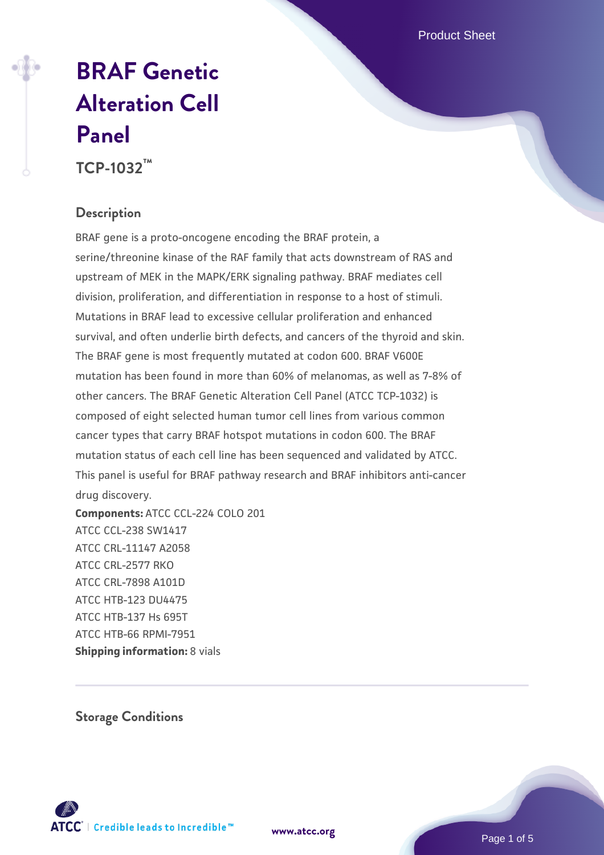Product Sheet

# **[BRAF Genetic](https://www.atcc.org/products/tcp-1032) [Alteration Cell](https://www.atcc.org/products/tcp-1032) [Panel](https://www.atcc.org/products/tcp-1032)**

**TCP-1032™**

#### **Description**

BRAF gene is a proto-oncogene encoding the BRAF protein, a serine/threonine kinase of the RAF family that acts downstream of RAS and upstream of MEK in the MAPK/ERK signaling pathway. BRAF mediates cell division, proliferation, and differentiation in response to a host of stimuli. Mutations in BRAF lead to excessive cellular proliferation and enhanced survival, and often underlie birth defects, and cancers of the thyroid and skin. The BRAF gene is most frequently mutated at codon 600. BRAF V600E mutation has been found in more than 60% of melanomas, as well as 7-8% of other cancers. The BRAF Genetic Alteration Cell Panel (ATCC TCP-1032) is composed of eight selected human tumor cell lines from various common cancer types that carry BRAF hotspot mutations in codon 600. The BRAF mutation status of each cell line has been sequenced and validated by ATCC. This panel is useful for BRAF pathway research and BRAF inhibitors anti-cancer drug discovery.

**Components:** ATCC CCL-224 COLO 201 ATCC CCL-238 SW1417 ATCC CRL-11147 A2058 ATCC CRL-2577 RKO ATCC CRL-7898 A101D ATCC HTB-123 DU4475 ATCC HTB-137 Hs 695T ATCC HTB-66 RPMI-7951 **Shipping information: 8 vials** 

**Storage Conditions**



Page 1 of 5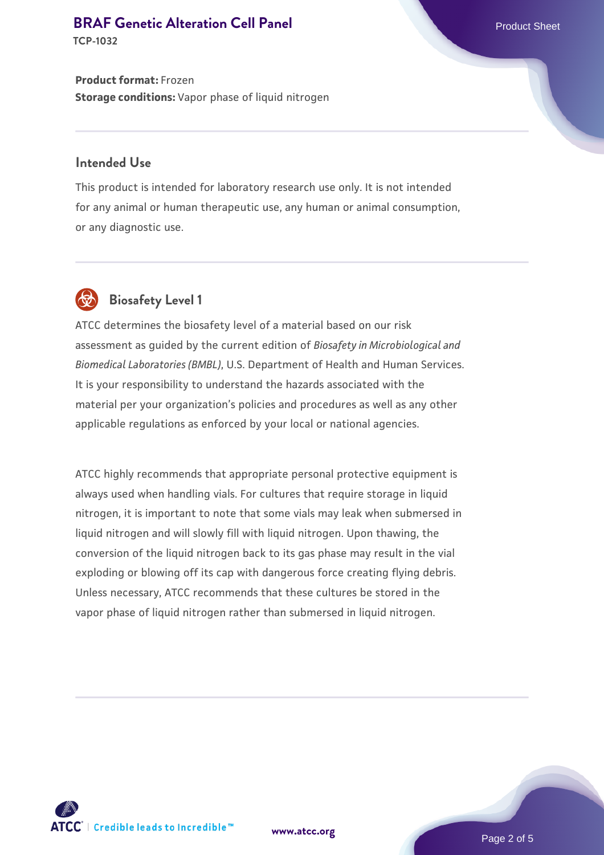#### **[BRAF Genetic Alteration Cell Panel](https://www.atcc.org/products/tcp-1032) Product Sheet Product Sheet**

**TCP-1032**

**Product format:** Frozen **Storage conditions:** Vapor phase of liquid nitrogen

#### **Intended Use**

This product is intended for laboratory research use only. It is not intended for any animal or human therapeutic use, any human or animal consumption, or any diagnostic use.



# **Biosafety Level 1**

ATCC determines the biosafety level of a material based on our risk assessment as guided by the current edition of *Biosafety in Microbiological and Biomedical Laboratories (BMBL)*, U.S. Department of Health and Human Services. It is your responsibility to understand the hazards associated with the material per your organization's policies and procedures as well as any other applicable regulations as enforced by your local or national agencies.

ATCC highly recommends that appropriate personal protective equipment is always used when handling vials. For cultures that require storage in liquid nitrogen, it is important to note that some vials may leak when submersed in liquid nitrogen and will slowly fill with liquid nitrogen. Upon thawing, the conversion of the liquid nitrogen back to its gas phase may result in the vial exploding or blowing off its cap with dangerous force creating flying debris. Unless necessary, ATCC recommends that these cultures be stored in the vapor phase of liquid nitrogen rather than submersed in liquid nitrogen.



**[www.atcc.org](http://www.atcc.org)**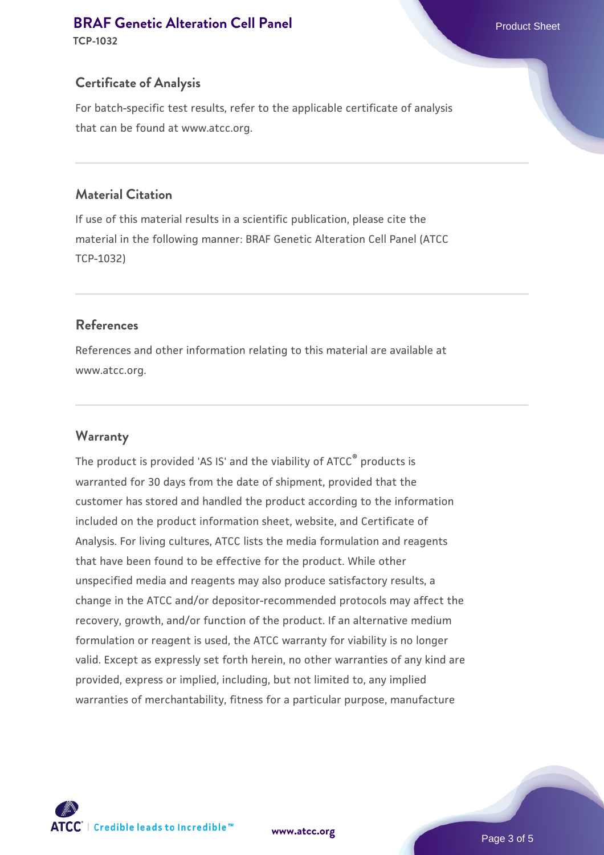#### **[BRAF Genetic Alteration Cell Panel](https://www.atcc.org/products/tcp-1032) Product Sheet Product Sheet**

**TCP-1032**

#### **Certificate of Analysis**

For batch-specific test results, refer to the applicable certificate of analysis that can be found at www.atcc.org.

#### **Material Citation**

If use of this material results in a scientific publication, please cite the material in the following manner: BRAF Genetic Alteration Cell Panel (ATCC TCP-1032)

#### **References**

References and other information relating to this material are available at www.atcc.org.

#### **Warranty**

The product is provided 'AS IS' and the viability of ATCC® products is warranted for 30 days from the date of shipment, provided that the customer has stored and handled the product according to the information included on the product information sheet, website, and Certificate of Analysis. For living cultures, ATCC lists the media formulation and reagents that have been found to be effective for the product. While other unspecified media and reagents may also produce satisfactory results, a change in the ATCC and/or depositor-recommended protocols may affect the recovery, growth, and/or function of the product. If an alternative medium formulation or reagent is used, the ATCC warranty for viability is no longer valid. Except as expressly set forth herein, no other warranties of any kind are provided, express or implied, including, but not limited to, any implied warranties of merchantability, fitness for a particular purpose, manufacture

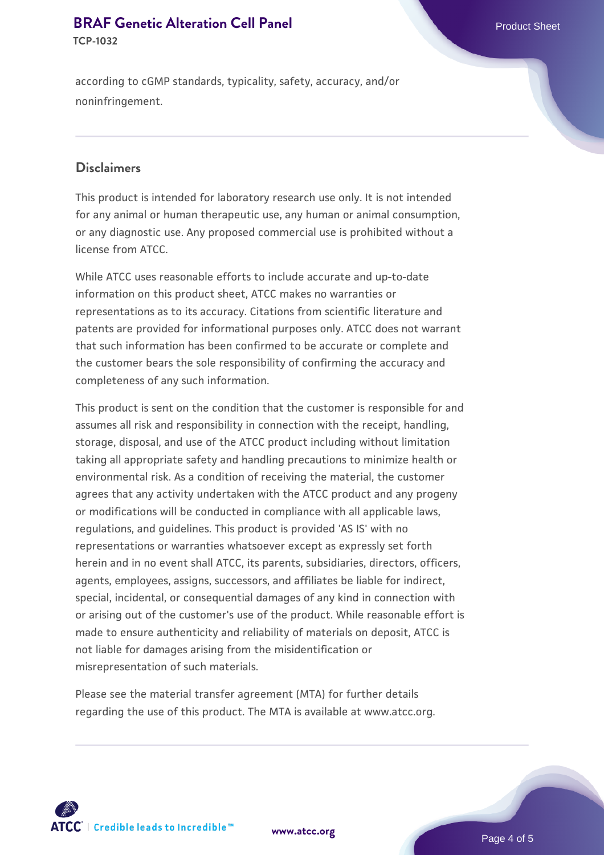#### **[BRAF Genetic Alteration Cell Panel](https://www.atcc.org/products/tcp-1032) Product Sheet Product Sheet TCP-1032**

according to cGMP standards, typicality, safety, accuracy, and/or noninfringement.

#### **Disclaimers**

This product is intended for laboratory research use only. It is not intended for any animal or human therapeutic use, any human or animal consumption, or any diagnostic use. Any proposed commercial use is prohibited without a license from ATCC.

While ATCC uses reasonable efforts to include accurate and up-to-date information on this product sheet, ATCC makes no warranties or representations as to its accuracy. Citations from scientific literature and patents are provided for informational purposes only. ATCC does not warrant that such information has been confirmed to be accurate or complete and the customer bears the sole responsibility of confirming the accuracy and completeness of any such information.

This product is sent on the condition that the customer is responsible for and assumes all risk and responsibility in connection with the receipt, handling, storage, disposal, and use of the ATCC product including without limitation taking all appropriate safety and handling precautions to minimize health or environmental risk. As a condition of receiving the material, the customer agrees that any activity undertaken with the ATCC product and any progeny or modifications will be conducted in compliance with all applicable laws, regulations, and guidelines. This product is provided 'AS IS' with no representations or warranties whatsoever except as expressly set forth herein and in no event shall ATCC, its parents, subsidiaries, directors, officers, agents, employees, assigns, successors, and affiliates be liable for indirect, special, incidental, or consequential damages of any kind in connection with or arising out of the customer's use of the product. While reasonable effort is made to ensure authenticity and reliability of materials on deposit, ATCC is not liable for damages arising from the misidentification or misrepresentation of such materials.

Please see the material transfer agreement (MTA) for further details regarding the use of this product. The MTA is available at www.atcc.org.



**[www.atcc.org](http://www.atcc.org)**

Page 4 of 5